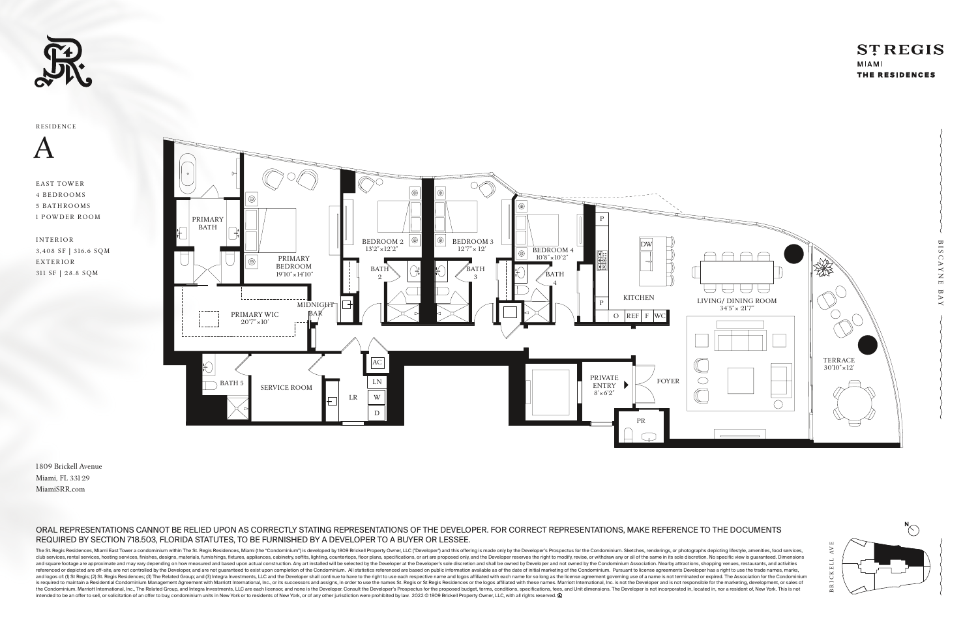





### ORAL REPRESENTATIONS CANNOT BE RELIED UPON AS CORRECTLY STATING REPRESENTATIONS OF THE DEVELOPER. FOR CORRECT REPRESENTATIONS, MAKE REFERENCE TO THE DOCUMENTS REQUIRED BY SECTION 718.503, FLORIDA STATUTES, TO BE FURNISHED BY A DEVELOPER TO A BUYER OR LESSEE.

The St. Regis Residences, Miami East Tower a condominium within The St. Regis Residences, Miami (the "Condominium") is developed by 1809 Brickell Property Owner, LLC ("Developer") and this offering is made only by the Deve club services, rental services, hosting services, finishes, designs, materials, furnishings, fixtures, appliances, cabinetry, soffits, lighting, countertops, floor plans, specifications, or art are proposed only, and the D and square footage are approximate and may vary depending on how measured and based upon actual construction. Any art installed will be selected by the Developer's sole discretion and shall be owned by Developer and not ow referenced or depicted are off-site, are not controlled by the Developer, and are not guaranteed to exist upon completion of the Condominium. All statistics referenced are based on public information available as of the da and logos of: (1) St Regis; (2) St. Regis; (2) St. Regis Residences; (3) The Related Group; and (3) Integra Investments, LLC and the Developer shall continue to have to the right to use each respective name and logos affil is required to maintain a Residential Condominium Management Agreement with Marriott International, Inc., or its successors and assigns, in order to use the names St. Regis or St Regis or St Regis or the logos affiliated w the Condominium. Marriott International, Inc., The Related Group, and Integra Investments, LLC are each licensor, and none is the Developer. Consult the Developer's Prospectus for the proposed budget, terms, conditions, sp intended to be an offer to sell, or solicitation of an offer to buy, condominium units in New York or to residents of New York, or of any other jurisdiction were prohibited by law. 2022 © 1809 Brickell Property Owner, LLC,

## **STREGIS**

MIAMI THE RESIDENCES

1809 Brickell Avenue Miami, FL 331 29 MiamiSRR.com

EAST TOWER 4 BEDROOMS 5 BATHROOMS 1 POWDER ROOM

I N T E R IOR 3,408 SF | 316.6 SQM E X T E R IOR 311 SF | 28.8 SQM

A

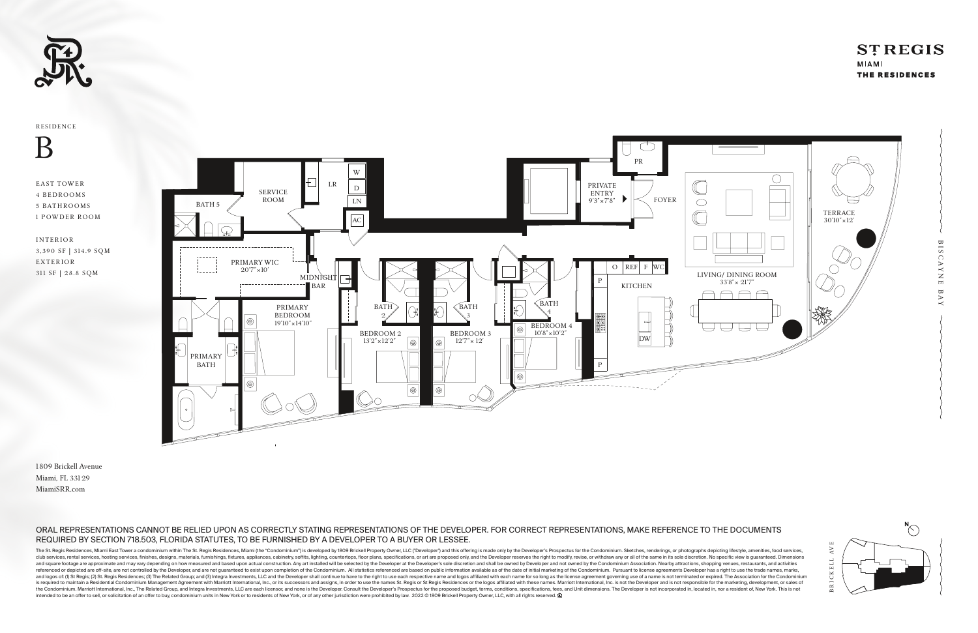





### ORAL REPRESENTATIONS CANNOT BE RELIED UPON AS CORRECTLY STATING REPRESENTATIONS OF THE DEVELOPER. FOR CORRECT REPRESENTATIONS, MAKE REFERENCE TO THE DOCUMENTS REQUIRED BY SECTION 718.503, FLORIDA STATUTES, TO BE FURNISHED BY A DEVELOPER TO A BUYER OR LESSEE.

The St. Regis Residences, Miami East Tower a condominium within The St. Regis Residences, Miami (the "Condominium") is developed by 1809 Brickell Property Owner, LLC ("Developer") and this offering is made only by the Deve club services, rental services, hosting services, finishes, designs, materials, furnishings, fixtures, appliances, cabinetry, soffits, lighting, countertops, floor plans, specifications, or art are proposed only, and the D and square footage are approximate and may vary depending on how measured and based upon actual construction. Any art installed will be selected by the Developer's sole discretion and shall be owned by Developer and not ow referenced or depicted are off-site, are not controlled by the Developer, and are not guaranteed to exist upon completion of the Condominium. All statistics referenced are based on public information available as of the da and logos of: (1) St Regis; (2) St. Regis; (2) St. Regis Residences; (3) The Related Group; and (3) Integra Investments, LLC and the Developer shall continue to have to the right to use each respective name and logos affil is required to maintain a Residential Condominium Management Agreement with Marriott International, Inc., or its successors and assigns, in order to use the names St. Regis or St Regis or St Regis or the logos affiliated w the Condominium. Marriott International, Inc., The Related Group, and Integra Investments, LLC are each licensor, and none is the Developer. Consult the Developer's Prospectus for the proposed budget, terms, conditions, sp intended to be an offer to sell, or solicitation of an offer to buy, condominium units in New York or to residents of New York, or of any other jurisdiction were prohibited by law. 2022 © 1809 Brickell Property Owner, LLC,

# **STREGIS**

MIAMI THE RESIDENCES

1809 Brickell Avenue Miami, FL 331 29 MiamiSRR.com

EAST TOWER 4 BEDROOMS 5 BATHROOMS 1 POWDER ROOM

I N T E R IOR 3, 390 SF | 314 .9 SQM E X T E R IOR 311 SF | 2 8.8 SQM

B

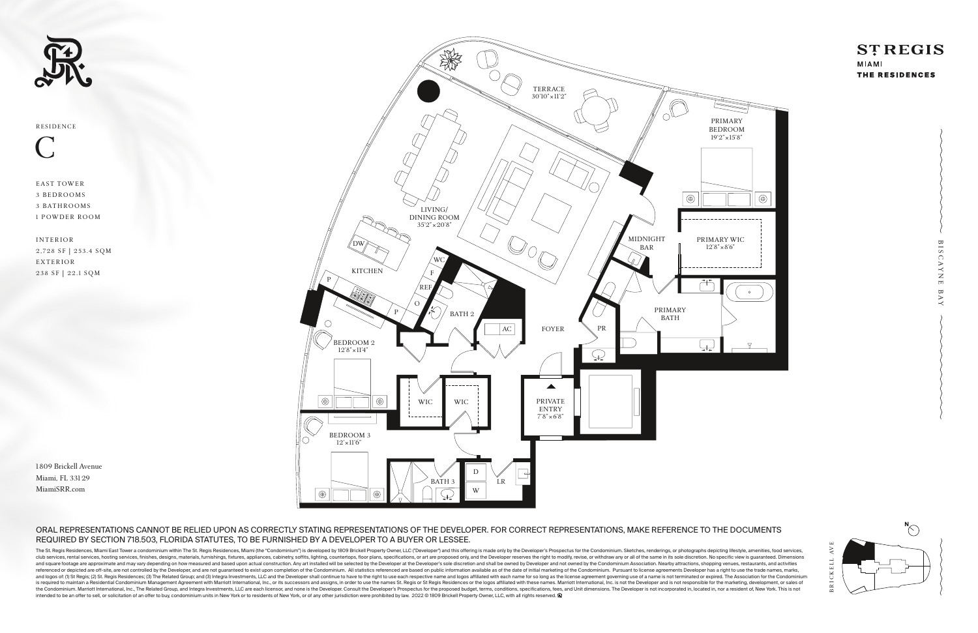





### ORAL REPRESENTATIONS CANNOT BE RELIED UPON AS CORRECTLY STATING REPRESENTATIONS OF THE DEVELOPER. FOR CORRECT REPRESENTATIONS, MAKE REFERENCE TO THE DOCUMENTS REQUIRED BY SECTION 718.503, FLORIDA STATUTES, TO BE FURNISHED BY A DEVELOPER TO A BUYER OR LESSEE.

The St. Regis Residences, Miami East Tower a condominium within The St. Regis Residences, Miami (the "Condominium") is developed by 1809 Brickell Property Owner, LLC ("Developer") and this offering is made only by the Deve club services, rental services, hosting services, finishes, designs, materials, furnishings, fixtures, appliances, cabinetry, soffits, lighting, countertops, floor plans, specifications, or art are proposed only, and the D and square footage are approximate and may vary depending on how measured and based upon actual construction. Any art installed will be selected by the Developer's sole discretion and shall be owned by Developer and not ow referenced or depicted are off-site, are not controlled by the Developer, and are not guaranteed to exist upon completion of the Condominium. All statistics referenced are based on public information available as of the da and logos of: (1) St Regis; (2) St. Regis; (2) St. Regis Residences; (3) The Related Group; and (3) Integra Investments, LLC and the Developer shall continue to have to the right to use each respective name and logos affil is required to maintain a Residential Condominium Management Agreement with Marriott International, Inc., or its successors and assigns, in order to use the names St. Regis or St Regis or St Regis or the logos affiliated w the Condominium. Marriott International, Inc., The Related Group, and Integra Investments, LLC are each licensor, and none is the Developer. Consult the Developer's Prospectus for the proposed budget, terms, conditions, sp intended to be an offer to sell, or solicitation of an offer to buy, condominium units in New York or to residents of New York, or of any other jurisdiction were prohibited by law. 2022 © 1809 Brickell Property Owner, LLC,



MIAMI THE RESIDENCES



EAST TOWER 3 BEDROOMS 3 BATHROOMS 1 POWDER ROOM

I N T E R IOR 2,728 SF | 253.4 SQM E X T E R IOR 238 SF | 22.1 SQM

C